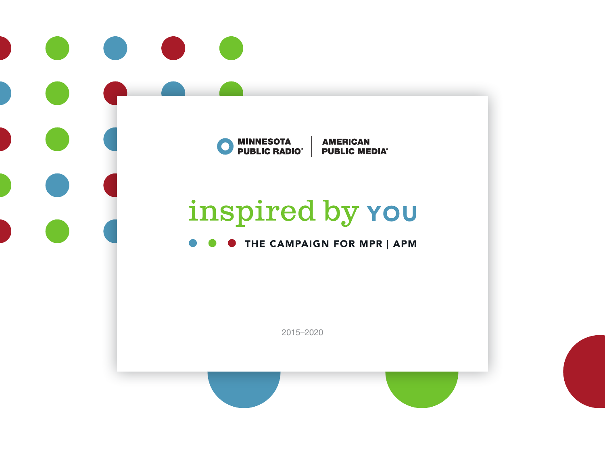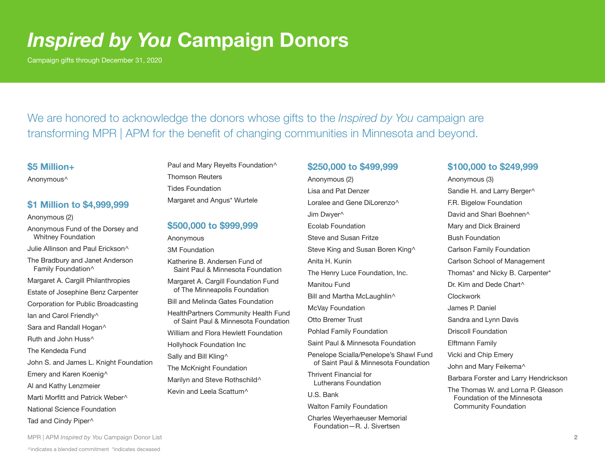## *Inspired by You* **Campaign Donors**

Campaign gifts through December 31, 2020

We are honored to acknowledge the donors whose gifts to the *Inspired by You* campaign are transforming MPR | APM for the benefit of changing communities in Minnesota and beyond.

#### **\$5 Million+**

Anonymous^

#### **\$1 Million to \$4,999,999**

Anonymous (2)

Anonymous Fund of the Dorsey and Whitney Foundation

Julie Allinson and Paul Erickson^

- The Bradbury and Janet Anderson Family Foundation^
- Margaret A. Cargill Philanthropies
- Estate of Josephine Benz Carpenter
- Corporation for Public Broadcasting
- lan and Carol Friendly<sup>^</sup>
- Sara and Randall Hogan^

Ruth and John Huss^

- The Kendeda Fund
- John S. and James L. Knight Foundation
- Emery and Karen Koenig^
- Al and Kathy Lenzmeier
- Marti Morfitt and Patrick Weber^
- National Science Foundation
- Tad and Cindy Piper^

Paul and Mary Reyelts Foundation^ Thomson Reuters Tides Foundation Margaret and Angus\* Wurtele

### **\$500,000 to \$999,999**

- Anonymous
- 3M Foundation
- Katherine B. Andersen Fund of Saint Paul & Minnesota Foundation
- Margaret A. Cargill Foundation Fund of The Minneapolis Foundation
- Bill and Melinda Gates Foundation
- HealthPartners Community Health Fund of Saint Paul & Minnesota Foundation
- William and Flora Hewlett Foundation
- Hollyhock Foundation Inc
- Sally and Bill Kling<sup>^</sup>
- The McKnight Foundation
- Marilyn and Steve Rothschild<sup>^</sup>
- Kevin and Leela Scattum^

### **\$250,000 to \$499,999**

Anonymous (2) Lisa and Pat Denzer Loralee and Gene DiLorenzo<sup>^</sup> Jim Dwyer^ Ecolab Foundation Steve and Susan Fritze Steve King and Susan Boren King^ Anita H. Kunin The Henry Luce Foundation, Inc. Manitou Fund Bill and Martha McLaughlin^ McVay Foundation Otto Bremer Trust Pohlad Family Foundation Saint Paul & Minnesota Foundation Penelope Scialla/Penelope's Shawl Fund of Saint Paul & Minnesota Foundation Thrivent Financial for Lutherans Foundation U.S. Bank Walton Family Foundation

Charles Weyerhaeuser Memorial Foundation—R. J. Sivertsen

#### **\$100,000 to \$249,999**

Anonymous (3) Sandie H. and Larry Berger^ F.R. Bigelow Foundation David and Shari Boehnen<sup>^</sup> Mary and Dick Brainerd Bush Foundation Carlson Family Foundation Carlson School of Management Thomas\* and Nicky B. Carpenter\* Dr. Kim and Dede Chart^ Clockwork James P. Daniel Sandra and Lynn Davis Driscoll Foundation Elftmann Family Vicki and Chip Emery John and Mary Feikema^ Barbara Forster and Larry Hendrickson The Thomas W. and Lorna P. Gleason Foundation of the Minnesota Community Foundation

MPR | APM *Inspired by You* Campaign Donor List **2**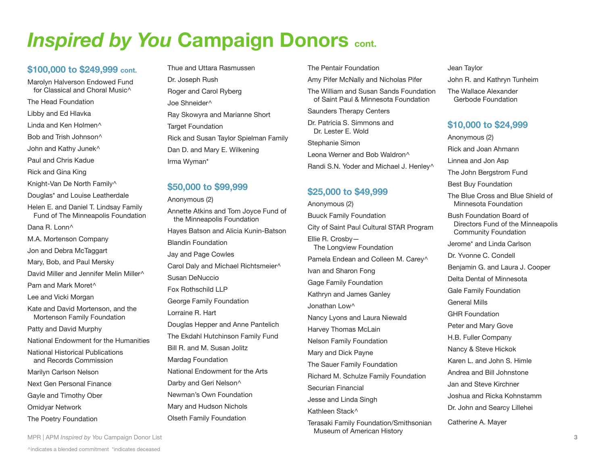# **Inspired by You Campaign Donors cont.**

#### **\$100,000 to \$249,999 cont.**

Marolyn Halverson Endowed Fund for Classical and Choral Music<sup> $\wedge$ </sup> The Head Foundation Libby and Ed Hlavka Linda and Ken Holmen^ Bob and Trish Johnson^ John and Kathy Junek^ Paul and Chris Kadue Rick and Gina King Knight-Van De North Family^ Douglas\* and Louise Leatherdale Helen E. and Daniel T. Lindsay Family Fund of The Minneapolis Foundation Dana R. Lonn^ M.A. Mortenson Company Jon and Debra McTaggart Mary, Bob, and Paul Mersky David Miller and Jennifer Melin Miller^ Pam and Mark Moret^ Lee and Vicki Morgan Kate and David Mortenson, and the Mortenson Family Foundation Patty and David Murphy National Endowment for the Humanities National Historical Publications and Records Commission Marilyn Carlson Nelson Next Gen Personal Finance Gayle and Timothy Ober Omidyar Network The Poetry Foundation

Thue and Uttara Rasmussen Dr. Joseph Rush Roger and Carol Ryberg Joe Shneider^ Ray Skowyra and Marianne Short **Target Foundation** Rick and Susan Taylor Spielman Family Dan D. and Mary E. Wilkening Irma Wyman\*

#### **\$50,000 to \$99,999**

Anonymous (2) Annette Atkins and Tom Joyce Fund of the Minneapolis Foundation Hayes Batson and Alicia Kunin-Batson Blandin Foundation Jay and Page Cowles Carol Daly and Michael Richtsmeier^ Susan DeNuccio Fox Rothschild LLP George Family Foundation Lorraine R. Hart Douglas Hepper and Anne Pantelich The Ekdahl Hutchinson Family Fund Bill R. and M. Susan Jolitz Mardag Foundation National Endowment for the Arts Darby and Geri Nelson^ Newman's Own Foundation Mary and Hudson Nichols Olseth Family Foundation

The Pentair Foundation

Amy Pifer McNally and Nicholas Pifer

The William and Susan Sands Foundation of Saint Paul & Minnesota Foundation

Saunders Therapy Centers

Dr. Patricia S. Simmons and Dr. Lester E. Wold

Stephanie Simon Leona Werner and Bob Waldron<sup>^</sup> Randi S.N. Yoder and Michael J. Henley^

#### **\$25,000 to \$49,999**

Anonymous (2) Buuck Family Foundation City of Saint Paul Cultural STAR Program Ellie R. Crosby— The Longview Foundation Pamela Endean and Colleen M. Carey^ Ivan and Sharon Fong Gage Family Foundation Kathryn and James Ganley Jonathan Low<sup>^</sup> Nancy Lyons and Laura Niewald Harvey Thomas McLain Nelson Family Foundation Mary and Dick Payne The Sauer Family Foundation Richard M. Schulze Family Foundation Securian Financial Jesse and Linda Singh Kathleen Stack^ Terasaki Family Foundation/Smithsonian

Museum of American History

Jean Taylor John R. and Kathryn Tunheim The Wallace Alexander Gerbode Foundation

#### **\$10,000 to \$24,999**

Anonymous (2) Rick and Joan Ahmann Linnea and Jon Asp The John Bergstrom Fund Best Buy Foundation The Blue Cross and Blue Shield of Minnesota Foundation Bush Foundation Board of Directors Fund of the Minneapolis Community Foundation Jerome\* and Linda Carlson Dr. Yvonne C. Condell Benjamin G. and Laura J. Cooper Delta Dental of Minnesota Gale Family Foundation General Mills GHR Foundation Peter and Mary Gove H.B. Fuller Company Nancy & Steve Hickok Karen L. and John S. Himle Andrea and Bill Johnstone Jan and Steve Kirchner Joshua and Ricka Kohnstamm Dr. John and Searcy Lillehei Catherine A. Mayer